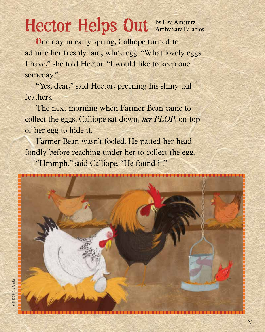## Hector Helps Out **By Lisa Amstutz**

**O**ne day in early spring, Calliope turned to admire her freshly laid, white egg. "What lovely eggs I have," she told Hector. "I would like to keep one someday."

"Yes, dear," said Hector, preening his shiny tail feathers.

The next morning when Farmer Bean came to collect the eggs, Calliope sat down, *ker-PLOP*, on top of her egg to hide it.

Farmer Bean wasn't fooled. He patted her head fondly before reaching under her to collect the egg. "Hmmph," said Calliope. "He found it!"

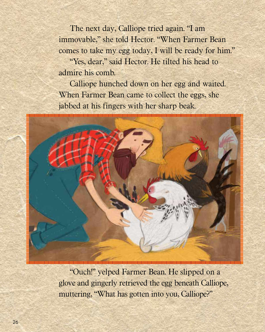The next day, Calliope tried again. "I am immovable," she told Hector. "When Farmer Bean comes to take my egg today, I will be ready for him."

"Yes, dear," said Hector. He tilted his head to admire his comb.

Calliope hunched down on her egg and waited. When Farmer Bean came to collect the eggs, she jabbed at his fingers with her sharp beak.



"Ouch!" yelped Farmer Bean. He slipped on a glove and gingerly retrieved the egg beneath Calliope, muttering, "What has gotten into you, Calliope?"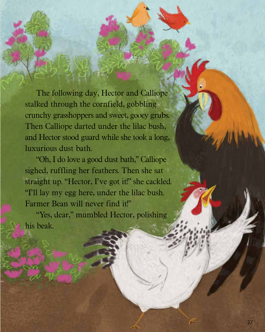The following day, Hector and Calliope stalked through the cornfield, gobbling crunchy grasshoppers and sweet, gooey grubs. Then Calliope darted under the lilac bush, and Hector stood guard while she took a long, luxurious dust bath.

"Oh, I do love a good dust bath," Calliope sighed, ruffling her feathers. Then she sat straight up. "Hector, I've got it!" she cackled. "I'll lay my egg here, under the lilac bush. Farmer Bean will never find it!"

"Yes, dear," mumbled Hector, polishing his beak.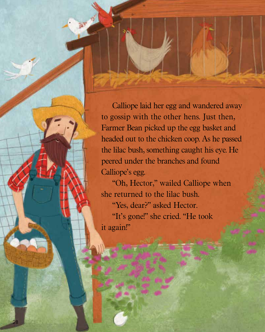Calliope laid her egg and wandered away to gossip with the other hens. Just then, Farmer Bean picked up the egg basket and headed out to the chicken coop. As he passed the lilac bush, something caught his eye. He peered under the branches and found Calliope's egg.

"Oh, Hector," wailed Calliope when she returned to the lilac bush. "Yes, dear?" asked Hector. "It's gone!" she cried. "He took it again!"

28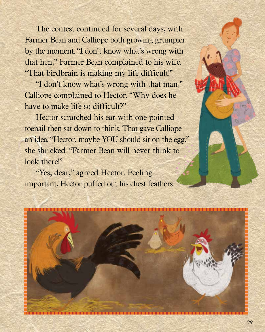The contest continued for several days, with Farmer Bean and Calliope both growing grumpier by the moment. "I don't know what's wrong with that hen," Farmer Bean complained to his wife. "That birdbrain is making my life difficult!"

"I don't know what's wrong with that man," Calliope complained to Hector. "Why does he have to make life so difficult?"

Hector scratched his ear with one pointed toenail then sat down to think. That gave Calliope an idea. "Hector, maybe YOU should sit on the egg," she shrieked. "Farmer Bean will never think to look there!"

"Yes, dear," agreed Hector. Feeling important, Hector puffed out his chest feathers.